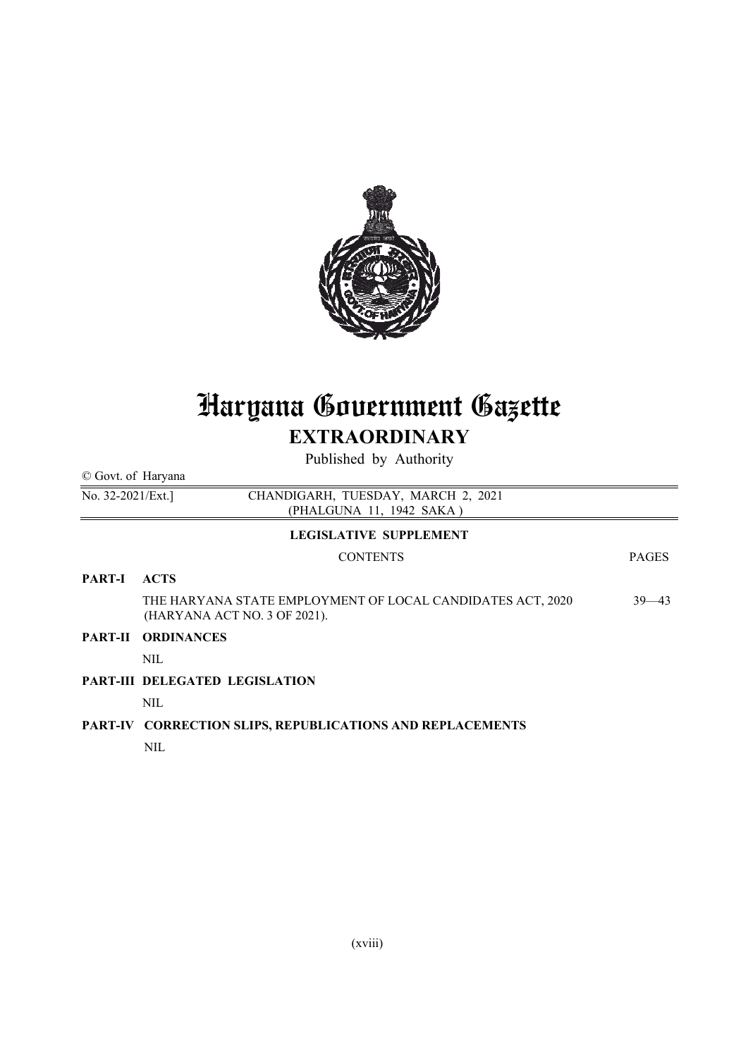

# Haryana Government Gazette **EXTRAORDINARY**

Published by Authority

| © Govt. of Haryana |                                                                                            |              |  |  |  |  |  |
|--------------------|--------------------------------------------------------------------------------------------|--------------|--|--|--|--|--|
| No. 32-2021/Ext.]  | CHANDIGARH, TUESDAY, MARCH 2, 2021<br>(PHALGUNA 11, 1942 SAKA)                             |              |  |  |  |  |  |
|                    | <b>LEGISLATIVE SUPPLEMENT</b>                                                              |              |  |  |  |  |  |
|                    | <b>CONTENTS</b>                                                                            | <b>PAGES</b> |  |  |  |  |  |
| <b>PART-I</b>      | <b>ACTS</b>                                                                                |              |  |  |  |  |  |
|                    | THE HARYANA STATE EMPLOYMENT OF LOCAL CANDIDATES ACT, 2020<br>(HARYANA ACT NO. 3 OF 2021). | $39 - 43$    |  |  |  |  |  |
| <b>PART-II</b>     | <b>ORDINANCES</b>                                                                          |              |  |  |  |  |  |
|                    | NIL.                                                                                       |              |  |  |  |  |  |
|                    | <b>PART-III DELEGATED LEGISLATION</b>                                                      |              |  |  |  |  |  |
|                    | NIL.                                                                                       |              |  |  |  |  |  |
|                    | PART-IV CORRECTION SLIPS, REPUBLICATIONS AND REPLACEMENTS                                  |              |  |  |  |  |  |
|                    | <b>NIL</b>                                                                                 |              |  |  |  |  |  |
|                    |                                                                                            |              |  |  |  |  |  |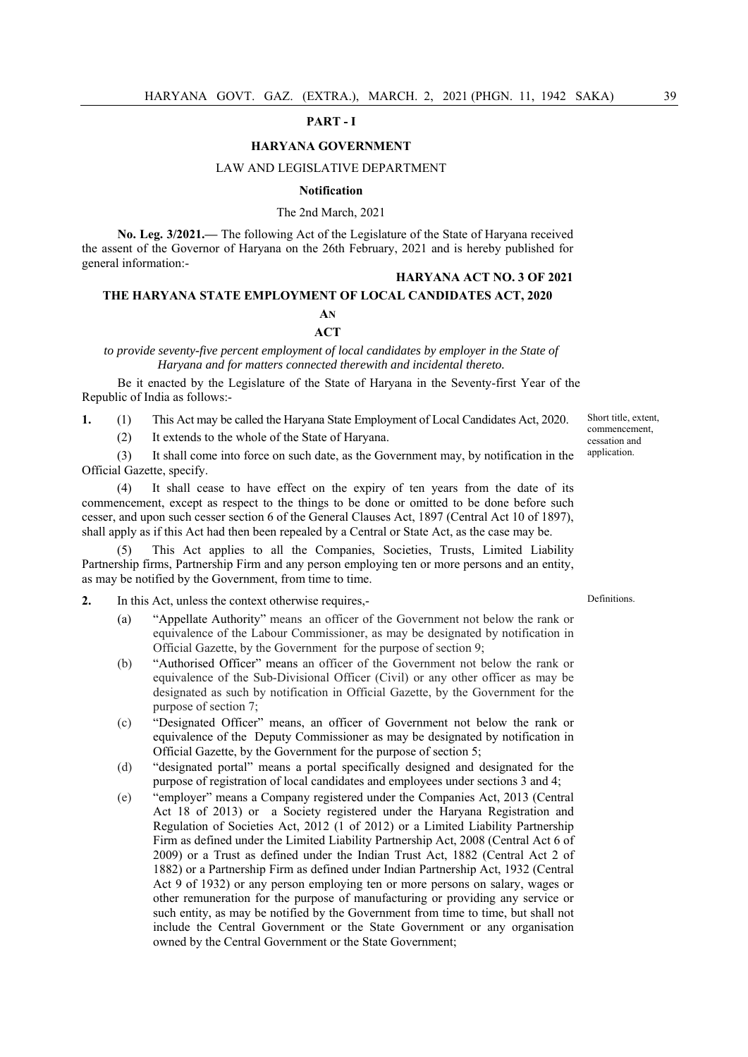#### **PART - I**

#### **HARYANA GOVERNMENT**

#### LAW AND LEGISLATIVE DEPARTMENT

#### **Notification**

#### The 2nd March, 2021

**No. Leg. 3/2021.—** The following Act of the Legislature of the State of Haryana received the assent of the Governor of Haryana on the 26th February, 2021 and is hereby published for general information:-

## **HARYANA ACT NO. 3 OF 2021**

# **THE HARYANA STATE EMPLOYMENT OF LOCAL CANDIDATES ACT, 2020 AN ACT**

*to provide seventy-five percent employment of local candidates by employer in the State of* 

*Haryana and for matters connected therewith and incidental thereto.* 

Be it enacted by the Legislature of the State of Haryana in the Seventy-first Year of the Republic of India as follows:-

**1.** (1) This Act may be called the Haryana State Employment of Local Candidates Act, 2020.

(2) It extends to the whole of the State of Haryana.

 (3) It shall come into force on such date, as the Government may, by notification in the Official Gazette, specify.

 (4) It shall cease to have effect on the expiry of ten years from the date of its commencement, except as respect to the things to be done or omitted to be done before such cesser, and upon such cesser section 6 of the General Clauses Act, 1897 (Central Act 10 of 1897), shall apply as if this Act had then been repealed by a Central or State Act, as the case may be.

 (5) This Act applies to all the Companies, Societies, Trusts, Limited Liability Partnership firms, Partnership Firm and any person employing ten or more persons and an entity, as may be notified by the Government, from time to time.

- **2.** In this Act, unless the context otherwise requires,-
	- (a) "Appellate Authority" means an officer of the Government not below the rank or equivalence of the Labour Commissioner, as may be designated by notification in Official Gazette, by the Government for the purpose of section 9;
	- (b) "Authorised Officer" means an officer of the Government not below the rank or equivalence of the Sub-Divisional Officer (Civil) or any other officer as may be designated as such by notification in Official Gazette, by the Government for the purpose of section 7;
	- (c) "Designated Officer" means, an officer of Government not below the rank or equivalence of the Deputy Commissioner as may be designated by notification in Official Gazette, by the Government for the purpose of section 5;
	- (d) "designated portal" means a portal specifically designed and designated for the purpose of registration of local candidates and employees under sections 3 and 4;
	- (e) "employer" means a Company registered under the Companies Act, 2013 (Central Act 18 of 2013) or a Society registered under the Haryana Registration and Regulation of Societies Act, 2012 (1 of 2012) or a Limited Liability Partnership Firm as defined under the Limited Liability Partnership Act, 2008 (Central Act 6 of 2009) or a Trust as defined under the Indian Trust Act, 1882 (Central Act 2 of 1882) or a Partnership Firm as defined under Indian Partnership Act, 1932 (Central Act 9 of 1932) or any person employing ten or more persons on salary, wages or other remuneration for the purpose of manufacturing or providing any service or such entity, as may be notified by the Government from time to time, but shall not include the Central Government or the State Government or any organisation owned by the Central Government or the State Government;

### Definitions.

Short title, extent commencement, cessation and application.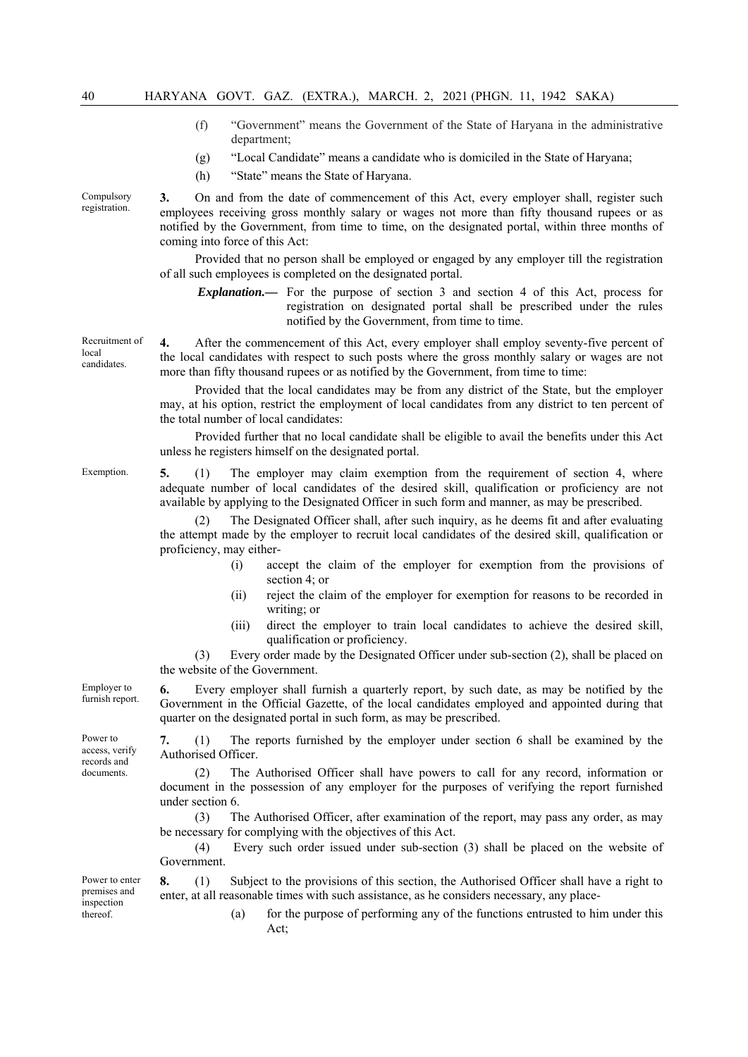- (f) "Government" means the Government of the State of Haryana in the administrative department;
- (g) "Local Candidate" means a candidate who is domiciled in the State of Haryana;
- (h) "State" means the State of Haryana.

Compulsory registration.

**3.** On and from the date of commencement of this Act, every employer shall, register such employees receiving gross monthly salary or wages not more than fifty thousand rupees or as notified by the Government, from time to time, on the designated portal, within three months of coming into force of this Act:

 Provided that no person shall be employed or engaged by any employer till the registration of all such employees is completed on the designated portal.

*Explanation.—* For the purpose of section 3 and section 4 of this Act, process for registration on designated portal shall be prescribed under the rules notified by the Government, from time to time.

**4.** After the commencement of this Act, every employer shall employ seventy-five percent of the local candidates with respect to such posts where the gross monthly salary or wages are not more than fifty thousand rupees or as notified by the Government, from time to time:

 Provided that the local candidates may be from any district of the State, but the employer may, at his option, restrict the employment of local candidates from any district to ten percent of the total number of local candidates:

 Provided further that no local candidate shall be eligible to avail the benefits under this Act unless he registers himself on the designated portal.

Exemption. **5.** (1) The employer may claim exemption from the requirement of section 4, where adequate number of local candidates of the desired skill, qualification or proficiency are not available by applying to the Designated Officer in such form and manner, as may be prescribed.

> The Designated Officer shall, after such inquiry, as he deems fit and after evaluating the attempt made by the employer to recruit local candidates of the desired skill, qualification or proficiency, may either-

- (i) accept the claim of the employer for exemption from the provisions of section 4; or
- (ii) reject the claim of the employer for exemption for reasons to be recorded in writing; or
- (iii) direct the employer to train local candidates to achieve the desired skill, qualification or proficiency.

 (3) Every order made by the Designated Officer under sub-section (2), shall be placed on the website of the Government.

**6.** Every employer shall furnish a quarterly report, by such date, as may be notified by the Government in the Official Gazette, of the local candidates employed and appointed during that quarter on the designated portal in such form, as may be prescribed.

**7.** (1) The reports furnished by the employer under section 6 shall be examined by the Authorised Officer.

 (2) The Authorised Officer shall have powers to call for any record, information or document in the possession of any employer for the purposes of verifying the report furnished under section 6.

 (3) The Authorised Officer, after examination of the report, may pass any order, as may be necessary for complying with the objectives of this Act.

 (4) Every such order issued under sub-section (3) shall be placed on the website of Government.

**8.** (1) Subject to the provisions of this section, the Authorised Officer shall have a right to

Power to enter premises and inspection thereof.

enter, at all reasonable times with such assistance, as he considers necessary, any place- (a) for the purpose of performing any of the functions entrusted to him under this Act;

Recruitment of local candidates.

Employer to furnish report.

Power to access, verify records and documents.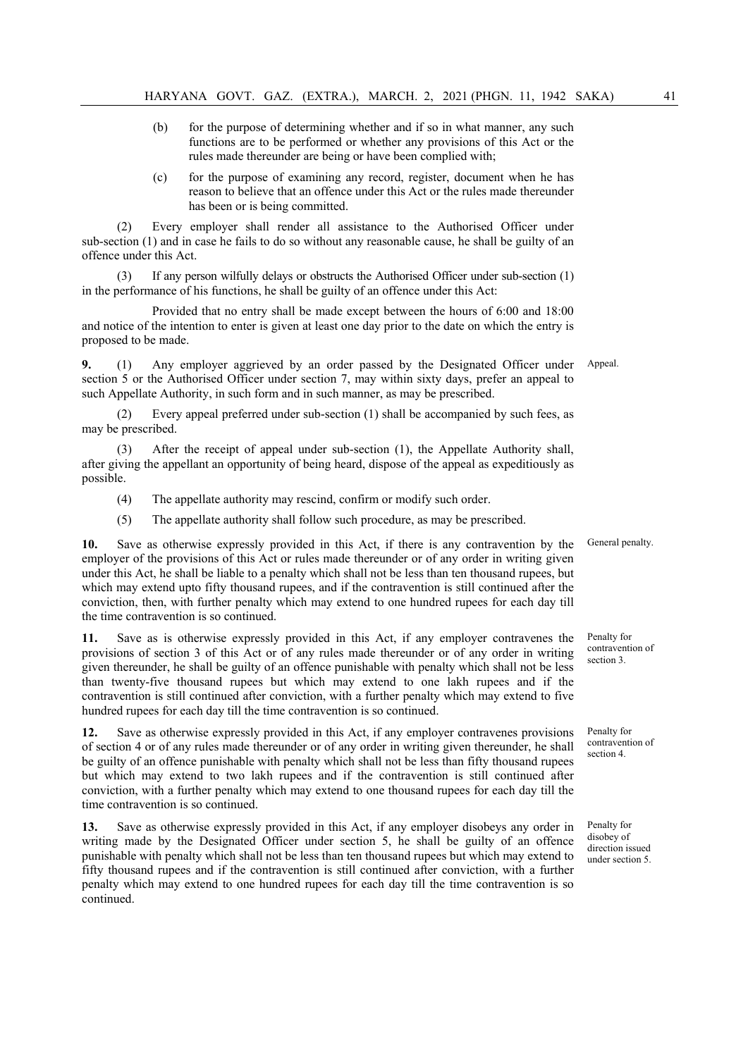- (b) for the purpose of determining whether and if so in what manner, any such functions are to be performed or whether any provisions of this Act or the rules made thereunder are being or have been complied with;
- (c) for the purpose of examining any record, register, document when he has reason to believe that an offence under this Act or the rules made thereunder has been or is being committed.

 (2) Every employer shall render all assistance to the Authorised Officer under sub-section (1) and in case he fails to do so without any reasonable cause, he shall be guilty of an offence under this Act.

 (3) If any person wilfully delays or obstructs the Authorised Officer under sub-section (1) in the performance of his functions, he shall be guilty of an offence under this Act:

 Provided that no entry shall be made except between the hours of 6:00 and 18:00 and notice of the intention to enter is given at least one day prior to the date on which the entry is proposed to be made.

**9.** (1) Any employer aggrieved by an order passed by the Designated Officer under section 5 or the Authorised Officer under section 7, may within sixty days, prefer an appeal to such Appellate Authority, in such form and in such manner, as may be prescribed. Appeal.

 (2) Every appeal preferred under sub-section (1) shall be accompanied by such fees, as may be prescribed.

After the receipt of appeal under sub-section (1), the Appellate Authority shall, after giving the appellant an opportunity of being heard, dispose of the appeal as expeditiously as possible.

- (4) The appellate authority may rescind, confirm or modify such order.
- (5) The appellate authority shall follow such procedure, as may be prescribed.

**10.** Save as otherwise expressly provided in this Act, if there is any contravention by the employer of the provisions of this Act or rules made thereunder or of any order in writing given under this Act, he shall be liable to a penalty which shall not be less than ten thousand rupees, but which may extend upto fifty thousand rupees, and if the contravention is still continued after the conviction, then, with further penalty which may extend to one hundred rupees for each day till the time contravention is so continued.

**11.** Save as is otherwise expressly provided in this Act, if any employer contravenes the provisions of section 3 of this Act or of any rules made thereunder or of any order in writing given thereunder, he shall be guilty of an offence punishable with penalty which shall not be less than twenty-five thousand rupees but which may extend to one lakh rupees and if the contravention is still continued after conviction, with a further penalty which may extend to five hundred rupees for each day till the time contravention is so continued.

**12.** Save as otherwise expressly provided in this Act, if any employer contravenes provisions of section 4 or of any rules made thereunder or of any order in writing given thereunder, he shall be guilty of an offence punishable with penalty which shall not be less than fifty thousand rupees but which may extend to two lakh rupees and if the contravention is still continued after conviction, with a further penalty which may extend to one thousand rupees for each day till the time contravention is so continued.

**13.** Save as otherwise expressly provided in this Act, if any employer disobeys any order in writing made by the Designated Officer under section 5, he shall be guilty of an offence punishable with penalty which shall not be less than ten thousand rupees but which may extend to fifty thousand rupees and if the contravention is still continued after conviction, with a further penalty which may extend to one hundred rupees for each day till the time contravention is so continued.

General penalty.

Penalty for contravention of section 3.

Penalty for contravention of section 4.

Penalty for disobey of direction issued under section 5.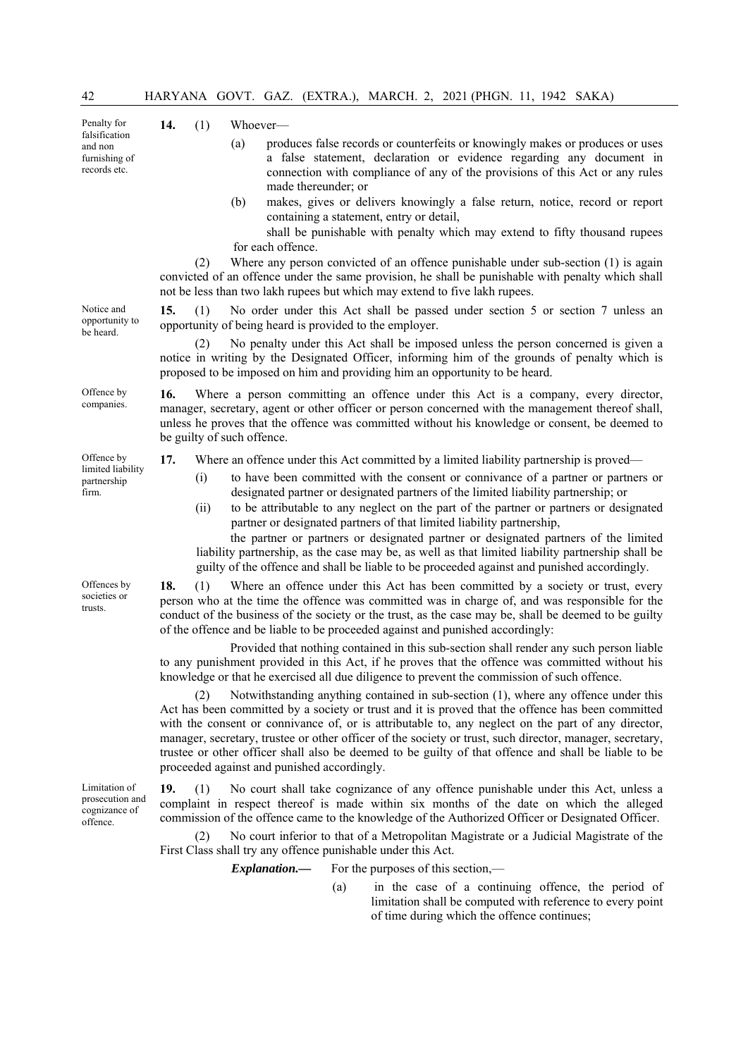| 42                                                                       |     |                                                                                                                                                                                                                                                                                                                        |                   |                                                              |  | HARYANA GOVT. GAZ. (EXTRA.), MARCH. 2, 2021 (PHGN. 11, 1942 SAKA)                                                                                           |  |                                                                                                                                                                                                                                                                                                                                                                                                                                                                                                                    |  |
|--------------------------------------------------------------------------|-----|------------------------------------------------------------------------------------------------------------------------------------------------------------------------------------------------------------------------------------------------------------------------------------------------------------------------|-------------------|--------------------------------------------------------------|--|-------------------------------------------------------------------------------------------------------------------------------------------------------------|--|--------------------------------------------------------------------------------------------------------------------------------------------------------------------------------------------------------------------------------------------------------------------------------------------------------------------------------------------------------------------------------------------------------------------------------------------------------------------------------------------------------------------|--|
| Penalty for<br>falsification<br>and non<br>furnishing of<br>records etc. | 14. | (1)<br>(a)                                                                                                                                                                                                                                                                                                             | Whoever-          | made thereunder; or                                          |  |                                                                                                                                                             |  | produces false records or counterfeits or knowingly makes or produces or uses<br>a false statement, declaration or evidence regarding any document in<br>connection with compliance of any of the provisions of this Act or any rules                                                                                                                                                                                                                                                                              |  |
|                                                                          |     | (b)<br>(2)                                                                                                                                                                                                                                                                                                             | for each offence. | containing a statement, entry or detail,                     |  |                                                                                                                                                             |  | makes, gives or delivers knowingly a false return, notice, record or report<br>shall be punishable with penalty which may extend to fifty thousand rupees<br>Where any person convicted of an offence punishable under sub-section (1) is again                                                                                                                                                                                                                                                                    |  |
|                                                                          |     |                                                                                                                                                                                                                                                                                                                        |                   |                                                              |  | not be less than two lakh rupees but which may extend to five lakh rupees.                                                                                  |  | convicted of an offence under the same provision, he shall be punishable with penalty which shall                                                                                                                                                                                                                                                                                                                                                                                                                  |  |
| Notice and<br>opportunity to<br>be heard.                                | 15. | (1)                                                                                                                                                                                                                                                                                                                    |                   | opportunity of being heard is provided to the employer.      |  |                                                                                                                                                             |  | No order under this Act shall be passed under section 5 or section 7 unless an                                                                                                                                                                                                                                                                                                                                                                                                                                     |  |
|                                                                          |     | (2)                                                                                                                                                                                                                                                                                                                    |                   |                                                              |  | proposed to be imposed on him and providing him an opportunity to be heard.                                                                                 |  | No penalty under this Act shall be imposed unless the person concerned is given a<br>notice in writing by the Designated Officer, informing him of the grounds of penalty which is                                                                                                                                                                                                                                                                                                                                 |  |
| Offence by<br>companies.                                                 | 16. | Where a person committing an offence under this Act is a company, every director,<br>manager, secretary, agent or other officer or person concerned with the management thereof shall,<br>unless he proves that the offence was committed without his knowledge or consent, be deemed to<br>be guilty of such offence. |                   |                                                              |  |                                                                                                                                                             |  |                                                                                                                                                                                                                                                                                                                                                                                                                                                                                                                    |  |
| Offence by                                                               | 17. |                                                                                                                                                                                                                                                                                                                        |                   |                                                              |  | Where an offence under this Act committed by a limited liability partnership is proved—                                                                     |  |                                                                                                                                                                                                                                                                                                                                                                                                                                                                                                                    |  |
| limited liability<br>partnership<br>firm.                                | (i) | (ii)                                                                                                                                                                                                                                                                                                                   |                   |                                                              |  | designated partner or designated partners of the limited liability partnership; or<br>partner or designated partners of that limited liability partnership, |  | to have been committed with the consent or connivance of a partner or partners or<br>to be attributable to any neglect on the part of the partner or partners or designated<br>the partner or partners or designated partner or designated partners of the limited                                                                                                                                                                                                                                                 |  |
|                                                                          |     |                                                                                                                                                                                                                                                                                                                        |                   |                                                              |  | guilty of the offence and shall be liable to be proceeded against and punished accordingly.                                                                 |  | liability partnership, as the case may be, as well as that limited liability partnership shall be                                                                                                                                                                                                                                                                                                                                                                                                                  |  |
| Offences by<br>societies or<br>trusts.                                   | 18. | (1)                                                                                                                                                                                                                                                                                                                    |                   |                                                              |  | of the offence and be liable to be proceeded against and punished accordingly:                                                                              |  | Where an offence under this Act has been committed by a society or trust, every<br>person who at the time the offence was committed was in charge of, and was responsible for the<br>conduct of the business of the society or the trust, as the case may be, shall be deemed to be guilty                                                                                                                                                                                                                         |  |
|                                                                          |     |                                                                                                                                                                                                                                                                                                                        |                   |                                                              |  | knowledge or that he exercised all due diligence to prevent the commission of such offence.                                                                 |  | Provided that nothing contained in this sub-section shall render any such person liable<br>to any punishment provided in this Act, if he proves that the offence was committed without his                                                                                                                                                                                                                                                                                                                         |  |
|                                                                          |     | (2)                                                                                                                                                                                                                                                                                                                    |                   | proceeded against and punished accordingly.                  |  |                                                                                                                                                             |  | Notwithstanding anything contained in sub-section (1), where any offence under this<br>Act has been committed by a society or trust and it is proved that the offence has been committed<br>with the consent or connivance of, or is attributable to, any neglect on the part of any director,<br>manager, secretary, trustee or other officer of the society or trust, such director, manager, secretary,<br>trustee or other officer shall also be deemed to be guilty of that offence and shall be liable to be |  |
| Limitation of<br>prosecution and<br>cognizance of<br>offence.            | 19. | (1)                                                                                                                                                                                                                                                                                                                    |                   |                                                              |  |                                                                                                                                                             |  | No court shall take cognizance of any offence punishable under this Act, unless a<br>complaint in respect thereof is made within six months of the date on which the alleged<br>commission of the offence came to the knowledge of the Authorized Officer or Designated Officer.                                                                                                                                                                                                                                   |  |
|                                                                          |     | (2)                                                                                                                                                                                                                                                                                                                    |                   | First Class shall try any offence punishable under this Act. |  |                                                                                                                                                             |  | No court inferior to that of a Metropolitan Magistrate or a Judicial Magistrate of the                                                                                                                                                                                                                                                                                                                                                                                                                             |  |

*Explanation.*— For the purposes of this section,—

(a) in the case of a continuing offence, the period of limitation shall be computed with reference to every point of time during which the offence continues;

- a false statement, declaration or evidence regarding any document in connection with compliance of any of the provisions of this Act or any rules
- (b) makes, gives or delivers knowingly a false return, notice, record or report

- (i) to have been committed with the consent or connivance of a partner or partners or
-